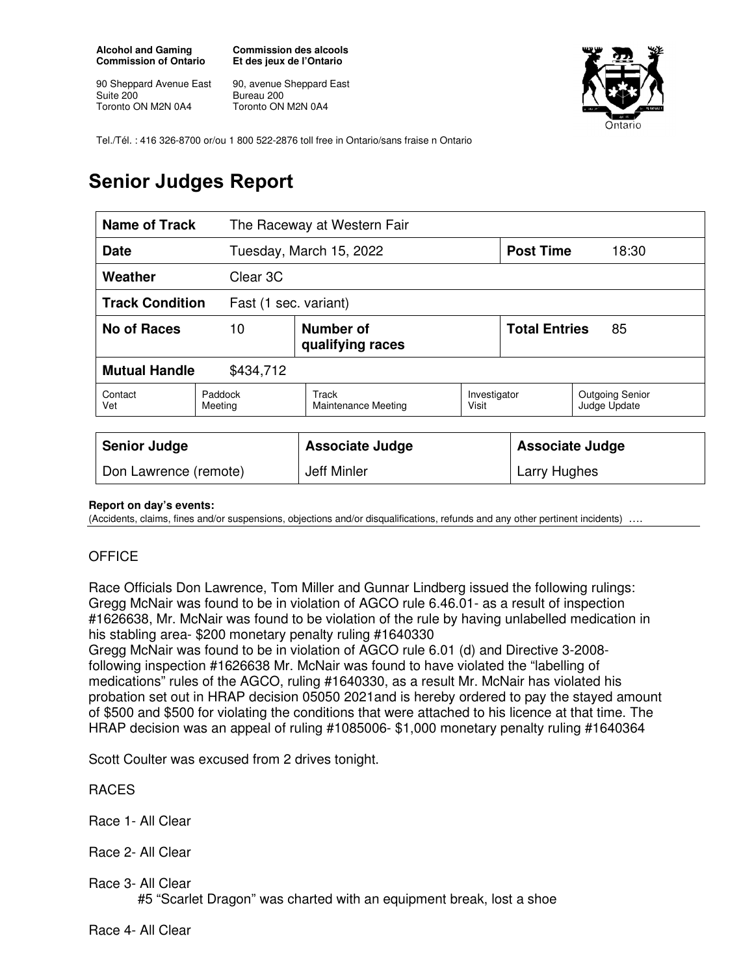**Alcohol and Gaming Commission of Ontario** 

90 Sheppard Avenue East Suite 200 Toronto ON M2N 0A4

**Commission des alcools Et des jeux de l'Ontario** 

90, avenue Sheppard East Bureau 200 Toronto ON M2N 0A4



Tel./Tél. : 416 326-8700 or/ou 1 800 522-2876 toll free in Ontario/sans fraise n Ontario

## **Senior Judges Report**

| Name of Track                                   |                    | The Raceway at Western Fair         |                       |                            |                                        |
|-------------------------------------------------|--------------------|-------------------------------------|-----------------------|----------------------------|----------------------------------------|
| <b>Date</b>                                     |                    | Tuesday, March 15, 2022             |                       | <b>Post Time</b>           | 18:30                                  |
| Weather                                         | Clear 3C           |                                     |                       |                            |                                        |
| <b>Track Condition</b><br>Fast (1 sec. variant) |                    |                                     |                       |                            |                                        |
| No of Races                                     | 10                 | Number of<br>qualifying races       |                       | <b>Total Entries</b><br>85 |                                        |
| <b>Mutual Handle</b><br>\$434,712               |                    |                                     |                       |                            |                                        |
| Contact<br>Vet                                  | Paddock<br>Meeting | Track<br><b>Maintenance Meeting</b> | Investigator<br>Visit |                            | <b>Outgoing Senior</b><br>Judge Update |
| <b>Senior Judge</b>                             |                    | <b>Associate Judge</b>              |                       | <b>Associate Judge</b>     |                                        |
| Don Lawrence (remote)                           |                    | Jeff Minler                         |                       | Larry Hughes               |                                        |

## **Report on day's events:**

(Accidents, claims, fines and/or suspensions, objections and/or disqualifications, refunds and any other pertinent incidents) ….

## **OFFICE**

Race Officials Don Lawrence, Tom Miller and Gunnar Lindberg issued the following rulings: Gregg McNair was found to be in violation of AGCO rule 6.46.01- as a result of inspection #1626638, Mr. McNair was found to be violation of the rule by having unlabelled medication in his stabling area- \$200 monetary penalty ruling #1640330

Gregg McNair was found to be in violation of AGCO rule 6.01 (d) and Directive 3-2008 following inspection #1626638 Mr. McNair was found to have violated the "labelling of medications" rules of the AGCO, ruling #1640330, as a result Mr. McNair has violated his probation set out in HRAP decision 05050 2021and is hereby ordered to pay the stayed amount of \$500 and \$500 for violating the conditions that were attached to his licence at that time. The HRAP decision was an appeal of ruling #1085006- \$1,000 monetary penalty ruling #1640364

Scott Coulter was excused from 2 drives tonight.

## RACES

- Race 1- All Clear
- Race 2- All Clear
- Race 3- All Clear #5 "Scarlet Dragon" was charted with an equipment break, lost a shoe

Race 4- All Clear